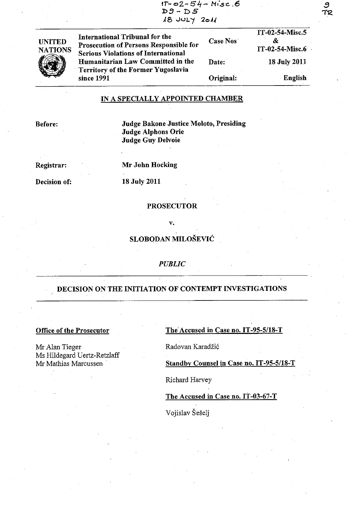| $D9 - DS$<br>$18$ JULY 2011                                                                                                   |          |                                         |
|-------------------------------------------------------------------------------------------------------------------------------|----------|-----------------------------------------|
| International Tribunal for the<br><b>Prosecution of Persons Responsible for</b><br><b>Serious Violations of International</b> | Case Nos | IT-02-54-Misc.5<br>&<br>IT-02-54-Misc.6 |

 $1T - 02 - 54 - M$ isc. 6

**UNITED NATIONS**  Humanitarian Law Committed in the Date: **Territory of the Former Yugoslavia** since 1991 Original: 18 July 2011 English

## IN A SPECIALLY APPOINTED CHAMBER

**Before:** 

Judge Bakone Justice Moloto, Presiding Judge Alphons Orie **Judge Guy Delvoie** 

Registrar:

Mr John Hocking

Decision of:

# **18 July 2011**

#### **PROSECUTOR**

## SLOBODAN MILOŠEVIĆ

v.

#### **PUBLIC**

### DECISION ON THE INITIATION OF CONTEMPT INVESTIGATIONS

## **Office of the Prosecutor**

Mr Alan Tieger Ms Hildegard Uertz-Retzlaff Mr Mathias Marcussen

The Accused in Case no. IT-95-5/18-T

Radovan Karadžić

Standby Counsel in Case no. IT-95-5/18-T

Richard Harvey

The Accused in Case no. IT-03-67-T

Vojislav Šešelj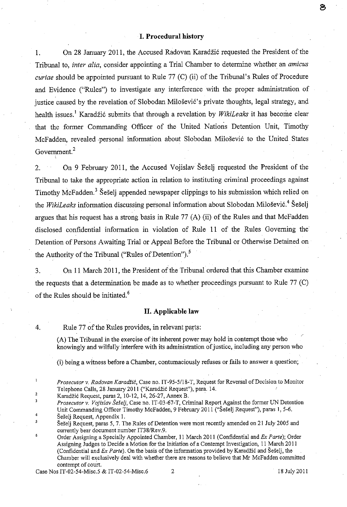#### **I. Procedural history**

1. On 28 January 2011, the Accused Radovan Karadzi6 requested the President of the Tribunal to, *inter alia,* consider appointing a Trial Chamber to determine whether an *amicus curiae* should be appointed pursuant to Rule 77 (C) (ii) of the Tribunal's Rules of Procedure and Evidence ("Rules") to investigate any interference with the proper administration of justice caused by the revelation of Slobodan Milošević's private thoughts, legal strategy, and health issues.<sup>1</sup> Karadžić submits that through a revelation by *WikiLeaks* it has become clear that the former Commanding Officer of the United Nations Detention Unit, Timothy McFadden, revealed .personal information about Slobodan Milosevi6 to the United States Government.<sup>2</sup>

2. On 9 February 2011, the Accused Vojislav Seselj requested the President of the Tribunal to take the appropriate action in relation to instituting criminal proceedings against Timothy McFadden.<sup>3</sup> Seseli appended newspaper clippings to his submission which relied on the *WikiLeaks* information discussing personal information about Slobodan Milosevi6.4 Seselj argues that his request has a strong basis in Rule 77 (A) (ii) of the Rules and that McFadden disclosed confidential information in violation of Rule **11** of the Rules Governing the Detention of Persons Awaiting Trial or Appeal Before the Tribunal or Otherwise Detained on the Authority of the Tribunal ("Rules of Detention").<sup>5</sup>

3. On **11** March **2011,** the President of the Tribunal ordered that this Chamber examine the requests that a determination be made as to whether proceedings pursuant to Rule 77 (C) of the Rules should be initiated.<sup>6</sup>

#### **11. Applicable law**

4. Rule 77 of the Rules provides, in relevant parts:

CA) The. Tribunal in the exercise of its inherent power may hold in contempt those who knowingly and wilfully interfere with its administration of justice, including any person who

(i) being a witness before a Chamber, contumaciously refuses or fails to answer a question;

*Prosecutor v. Radovan Karadiic,* Case no. IT-95-5118-T, Request for Reversal of Decision to Monitor Telephone Calls, 28 January 2011 ("Karadzic Request"), para. 14.

2 Karadzic Request, paras 2,10-12,14,26-27, Annex B. .

 $\mathbf{3}$ *Prosecutor v. Vojislav Seselj,* Case no. IT-03-67-T, Criminal Report Against the former UN Detention Unit Commanding Officer Timothy McFadden, 9 February 2011 ("Seselj Request"), paras I, 5-6. 4 Seselj Request, Appendix 1.

Case Nos IT-02-54-Misc.5 & IT-02-54-Misc.6 2 18 July 2011

පි

<sup>5</sup>  Seselj Request, paras 5, 7. The Rules of Detention were most recently amended on 21 July 2005 and currently bear document number IT38/Rev.9.

<sup>6</sup> Order Assigning a Specially Appointed Chamber, 11 March 2011 (Confidential and *Ex Parte);* Order Assigning Judges to Decide a Motion for the Initiation of a Contempt Investigation, 11 March 2011 (Confidential and *Ex Parte*). On the basis of the information provided by Karadžić and Šešelj, the Chamber will exclusively deal with whether there are reasons to believe that Mr McFadden committed contempt of court.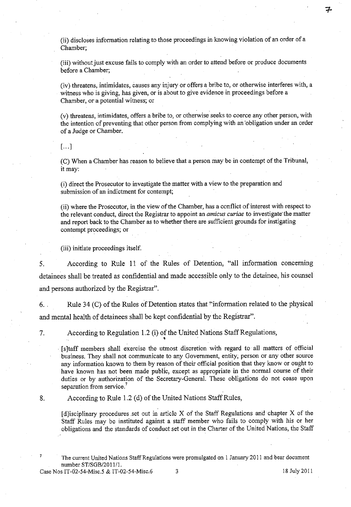(ii) discloses information relating to those proceedings in knowing violation of an order of a Chamber;

(iii) without just excuse fails to comply with an order to attend before or produce documents before a Chamber;

(iv) threatens, intimidates, causes any injury or offers a bribe to, or otherwise interferes with, a witness who is giving, has given, or is about to give evidence in proceedings before a Chamber, or a potential witness; or

(v) threatens, intimidates, offers a bribe to, or otherwise seeks to coerce any other person, with the intention of preventing that other person from complying with an 'obligation under an order of a Judge or Chamber.

 $\lceil \dots \rceil$ 

(C) When a Chamber has reason to believe that a person may be in contempt of the Tribunal, it may:

(i) direct the Prosecutor to investigate the matter with a view to the preparation and submission of an indictment for contempt;

(ii) where the Prosecutor, in the view of the Chamber, has a conflict of interest with respect to the relevant conduct, direct the Registrar to appoint an *amicus curiae* to investigate'the matter and report back to the Chamber as to whether there are sufficient grounds for instigating contempt proceedings; or

(iii) initiate proceedings itself.

5, According to Rule **11** of the Rules of Detention, "all information concerning detainees shall be treated as confidential and made accessible only to the detainee, his counsel and persons authorized by the Registrar".

6. , Rule 34 (C) of the Rules of Detention states that "information related to the physical and mental health of detainees shall be kept confidential by the Registrar".

7, According to Regulation 1.2 (i) of the United Nations Staff Regulations, . '

[s]taff members shall exercise the utmost discretion with regard to all matters of official business. They shall not communicate to any Government, entity; person or any other source any information known to them by reason of their official position that they know or ought to have known has not been made public, except as appropriate in the normal course of their duties or by authorization of the Secretary-General. These obligations do not cease upon separation from service.<sup>7</sup>

## 8. According to Rule 1.2 (d) of the United Nations Staff Rules,

 $[d]$ isciplinary procedures set out in article X of the Staff Regulations and chapter X of the Staff Rules may be instituted against a staff member who fails to comply with his or her obligations and the standards of conduct set out in the Charter of the United Nations, the Staff

7

The current United Nations Staff Regulations were promulgated on I January 2011 and bear document number *ST/SGB/2011/1.* 

Case Nos IT-02-54-Misc, 5 & IT-02-54-Misc.6 3 18 July 2011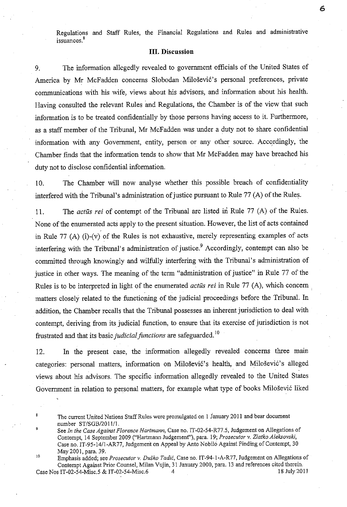Regulations and Staff Rules, the Financial Regulations and Rules and administrative **issuances. <sup>8</sup>**

#### **Ill. Discussion**

9. The information allegedly revealed to government officials of the United States of America by Mr McFadden concerns Slobodan Milošević's personal preferences, private communications with his wife, views about his advisors, and information about his health, Having consulted the relevant Rules and Regulations, the Chamber is of the view that such information is to be treated confidentially by those persons having access to it. Furthermore, as a staff member of the Tribunal, Mr McFadden was under a duty not to share confidential information with any Government, entity, person or any other source. Accordingly, the Chamber finds that the information tends to show that Mr McFadden may have breached his duty not to disclose confidential information.

10. The Chamber will now analyse whether this possible breach of confidentiality interfered with the Tribunal's administration of justice pursuant to Rule 77 (A) of the Rules.

11. The *actus rei* of contempt of the Tribunal are listed in Rule 77 (A) of the Rules. None of the enumerated acts apply to the present situation. However, the list of acts contained in Rule 77 (A) (i)-(v) of the Rules is not exhaustive, merely representing examples of acts interfering with the Tribunal's administration of justice.<sup>9</sup> Accordingly, contempt can also be committed through knowingly and wilfully interfering with the Tribunal's administration of justice in other ways. The meaning of the term "administration of justice" in Rule 77 of the Rules is tobe interpreted in light of the enumerated *actus rei* in Rule 77 (A), which concern matters closely related to the functioning of the judicial proceedings before the Tribunal. In addition, the Chamber recalls that the Tribunal possesses an inherent jurisdiction to deal with contempt, deriving from its judicial function, to ensure that its exercise of jurisdiction is not frustrated and that its basic *judicial functions* are safeguarded.<sup>10</sup>

12. In the present case, the information allegedly revealed concerns three main categories: personal matters, information on Milošević's health, and Milošević's alleged views about his advisors. The specific information allegedly revealed to the United States Government in relation to personal matters, for example what type of books Milošević liked 6

The current United Nations Staff Rules were promulgated on 1 January 2011 and bear document number *ST/SGB1201ll1.* 

See *In the Case Against Florence Hartmann,* Case no. IT-02-54-R77.5, Judgement on Allegations of Contempt, 14 September 2009 ("Hartmann Judgement"), para. 19; *Prosecutor v .. Zlatko Aleksovski,*  Case no. IT-95-14/1-AR77, Judgement on Appeal by Anto Nobilo Against Finding of Contempt, 30 May 2001, para. 39.

iO Emphasis added; see *Prosecutor* v. *Dusko Tadic,* Case no. IT-94-I-A-R77, Judgement on Allegations of Contempt Against Prior Counsel, Milan Vujin, 31 January 2000, para. 13 and references cited therein.<br>s IT-02-54-Misc.5 & IT-02-54-Misc.6 4 17-02-54-Misc.6 4 Case Nos IT-02-54-Misc.5 & IT-02-54-Misc.6 4